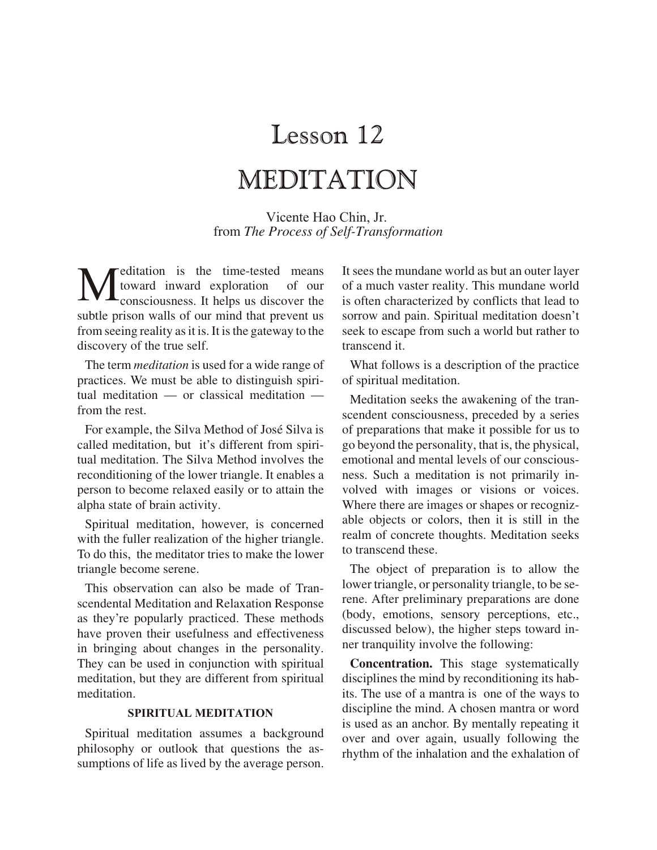# Lesson 12 MEDITATION

Vicente Hao Chin, Jr. from *The Process of Self-Transformation*

M editation is the time-tested means toward inward exploration of our consciousness. It helps us discover the subtle prison walls of our mind that prevent us from seeing reality as it is. It is the gateway to the discovery of the true self.

The term *meditation* is used for a wide range of practices. We must be able to distinguish spiritual meditation — or classical meditation from the rest.

For example, the Silva Method of José Silva is called meditation, but it's different from spiritual meditation. The Silva Method involves the reconditioning of the lower triangle. It enables a person to become relaxed easily or to attain the alpha state of brain activity.

Spiritual meditation, however, is concerned with the fuller realization of the higher triangle. To do this, the meditator tries to make the lower triangle become serene.

This observation can also be made of Transcendental Meditation and Relaxation Response as they're popularly practiced. These methods have proven their usefulness and effectiveness in bringing about changes in the personality. They can be used in conjunction with spiritual meditation, but they are different from spiritual meditation.

### **SPIRITUAL MEDITATION**

Spiritual meditation assumes a background philosophy or outlook that questions the assumptions of life as lived by the average person.

It sees the mundane world as but an outer layer of a much vaster reality. This mundane world is often characterized by conflicts that lead to sorrow and pain. Spiritual meditation doesn't seek to escape from such a world but rather to tran scend it.

What follows is a description of the practice of spiritual meditation.

Meditation seeks the awakening of the transcendent consciousness, preceded by a series of preparations that make it possible for us to go beyond the personality, that is, the physical, emotional and mental levels of our consciousness. Such a meditation is not primarily involved with images or visions or voices. Where there are images or shapes or recognizable objects or colors, then it is still in the realm of concrete thoughts. Meditation seeks to transcend these.

The object of preparation is to allow the lower triangle, or personality triangle, to be serene. After preliminary preparations are done (body, emotions, sensory perceptions, etc., discussed below), the higher steps toward inner tranquility involve the following:

**Concentration.** This stage systematically disciplines the mind by reconditioning its habits. The use of a mantra is one of the ways to discipline the mind. A chosen mantra or word is used as an anchor. By mentally repeating it over and over again, usually following the rhythm of the inhalation and the exhalation of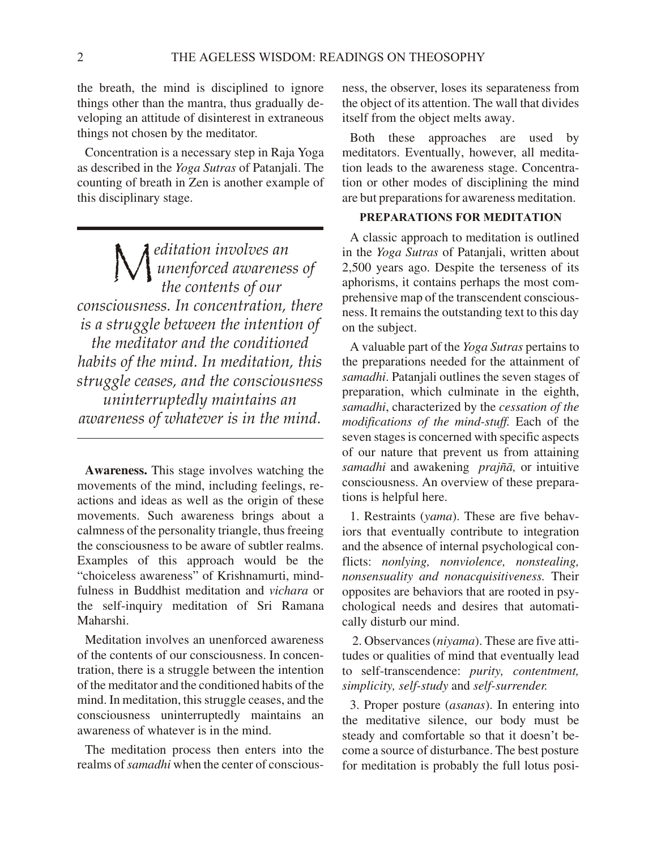the breath, the mind is disciplined to ignore things other than the mantra, thus gradually developing an attitude of disinterest in extraneous things not chosen by the meditator.

Concentration is a necessary step in Raja Yoga as de scribed in the *Yoga Sutras* of Patanjali. The counting of breath in Zen is another example of this disciplinary stage.

*M* editation involves an<br>*I* unenforced awarenes<br>*the contents of our un en forced aware ness of the con tents of our con scious ness. In con cen tra tion, there is a struggle between the intention of the meditator and the conditioned habits of the mind. In meditation, this strug gle ceases, and the conscious ness un in ter rupt edly main tains an awareness of whatever is in the mind.* 

**Awareness.** This stage involves watching the movements of the mind, including feelings, reactions and ideas as well as the origin of these move ments. Such awareness brings about a calmness of the personality triangle, thus freeing the consciousness to be aware of subtler realms. Examples of this approach would be the "choiceless awareness" of Krishnamurti, mindfulness in Buddhist meditation and *vichara* or the self-inquiry meditation of Sri Ramana Maharshi.

Meditation involves an unenforced awareness of the contents of our consciousness. In concentration, there is a struggle between the intention of the meditator and the conditioned habits of the mind. In meditation, this struggle ceases, and the consciousness uninterruptedly maintains an awareness of whatever is in the mind.

The meditation process then enters into the realms of *samedhi* when the center of consciousness, the observer, loses its separateness from the object of its attention. The wall that divides itself from the object melts away.

Both these approaches are used by meditators. Eventually, however, all meditation leads to the awareness stage. Concentration or other modes of disciplining the mind are but preparations for awareness meditation.

# **PREPARATIONS FOR MEDITATION**

A classic approach to meditation is outlined in the *Yoga Sutras* of Patanjali, written about 2,500 years ago. Despite the terseness of its aphorisms, it contains perhaps the most comprehensive map of the transcendent consciousness. It remains the outstanding text to this day on the subject.

A valuable part of the *Yoga Sutras* pertains to the preparations needed for the attainment of samadhi. Patanjali outlines the seven stages of preparation, which culminate in the eighth, *samadhi*, characterized by the *cessation of the modifications of the mind-stuff.* Each of the seven stages is concerned with specific aspects of our nature that prevent us from attaining *samadhi* and awakening *prajñā*, or intuitive consciousness. An overview of these preparations is helpful here.

1. Restraints (*yama*). These are five behaviors that eventually contribute to integration and the absence of internal psychological conflicts: *nonlying, nonviolence, nonstealing, nonsensuality and nonacquisitiveness.* Their opposites are behaviors that are rooted in psychological needs and desires that automatically disturb our mind.

2. Observances *(niyama)*. These are five attitudes or qualities of mind that eventually lead to self-transcendence: *purity, contentment, sim plic ity, self-study* and *self-surrender.*

3. Proper posture (*asanas*). In entering into the meditative silence, our body must be steady and comfortable so that it doesn't become a source of disturbance. The best posture for meditation is probably the full lotus posi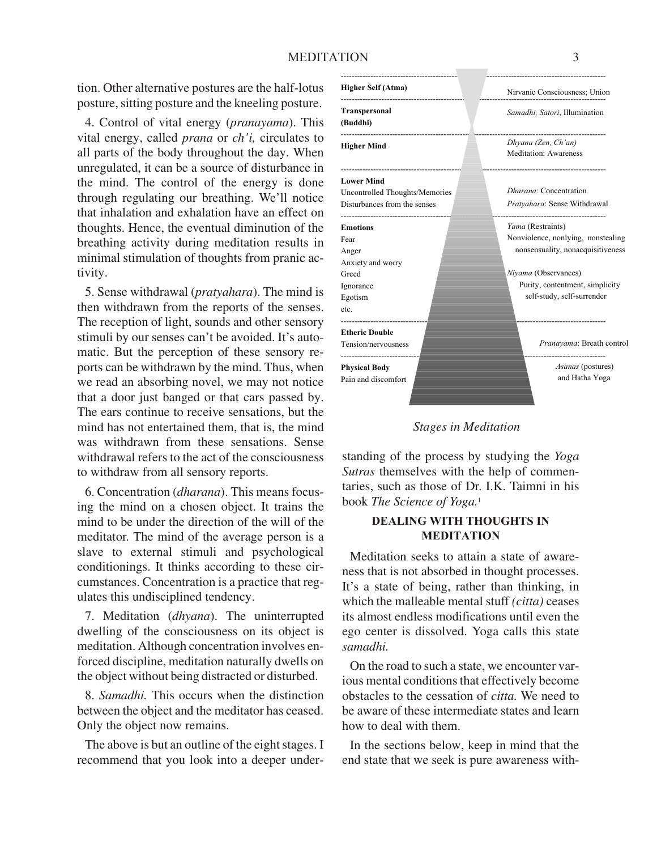tion. Other alternative postures are the half-lotus posture, sitting posture and the kneeling posture.

4. Control of vital energy (*pranayama*). This vital energy, called *prana* or *ch'i*, circulates to all parts of the body throughout the day. When un regulated, it can be a source of disturbance in the mind. The control of the energy is done through regulating our breathing. We'll notice that inhalation and exhalation have an effect on thoughts. Hence, the eventual diminution of the breathing activity during meditation results in minimal stimulation of thoughts from pranic activity.

5. Sense with drawal (*pratyahara*). The mind is then withdrawn from the reports of the senses. The reception of light, sounds and other sensory stimuli by our senses can't be avoided. It's automatic. But the perception of these sensory reports can be withdrawn by the mind. Thus, when we read an absorbing novel, we may not notice that a door just banged or that cars passed by. The ears continue to receive sensations, but the mind has not entertained them, that is, the mind was withdrawn from these sensations. Sense with drawal refers to the act of the consciousness to withdraw from all sensory reports.

6. Concentration (*dharana*). This means focusing the mind on a chosen object. It trains the mind to be under the direction of the will of the meditator. The mind of the average person is a slave to external stimuli and psychological conditionings. It thinks according to these circum stances. Concentration is a practice that regulates this undisciplined tendency.

7. Meditation (*dhyana*). The uninterrupted dwelling of the consciousness on its object is meditation. Although concentration involves enforced discipline, meditation naturally dwells on the object without being distracted or disturbed.

8. *Samadhi*. This occurs when the distinction between the object and the meditator has ceased. Only the object now remains.

The above is but an outline of the eight stages. I recommend that you look into a deeper under-

| Higher Self (Atma)                                | Nirvanic Consciousness; Union                |
|---------------------------------------------------|----------------------------------------------|
| Transpersonal<br>(Buddhi)                         | Samadhi, Satori, Illumination                |
| ---------------------------<br><b>Higher Mind</b> | Dhyana (Zen, Ch'an)<br>Meditation: Awareness |
| <b>Lower Mind</b>                                 |                                              |
| <b>Uncontrolled Thoughts/Memories</b>             | <i>Dharana:</i> Concentration                |
| Disturbances from the senses                      | Pratyahara: Sense Withdrawal                 |
| <b>Emotions</b>                                   | Yama (Restraints)                            |
| Fear                                              | Nonviolence, nonlying, nonstealing           |
| Anger                                             | nonsensuality, nonacquisitiveness            |
| Anxiety and worry                                 |                                              |
| Greed                                             | Niyama (Observances)                         |
| Ignorance                                         | Purity, contentment, simplicity              |
| Egotism                                           | self-study, self-surrender                   |
| etc.                                              |                                              |
| --------------------<br><b>Etheric Double</b>     |                                              |
| Tension/nervousness                               | Pranayama: Breath control                    |
| <b>Physical Body</b>                              | Asanas (postures)                            |
| Pain and discomfort                               | and Hatha Yoga                               |
|                                                   |                                              |

### *Stages in Meditation*

standing of the process by studying the *Yoga Sutras* themselves with the help of commentaries, such as those of Dr. I.K. Taimni in his book *The Science of Yoga*.<sup>1</sup>

## **DEALING WITH THOUGHTS IN MEDITATION**

Meditation seeks to attain a state of awareness that is not absorbed in thought processes. It's a state of being, rather than thinking, in which the malleable mental stuff *(citta)* ceases its almost endless modifications until even the ego center is dissolved. Yoga calls this state *sam adhi.*

On the road to such a state, we encounter various mental conditions that effectively become obstacles to the cessation of *citta*. We need to be aware of these intermediate states and learn how to deal with them.

In the sections below, keep in mind that the end state that we seek is pure awareness with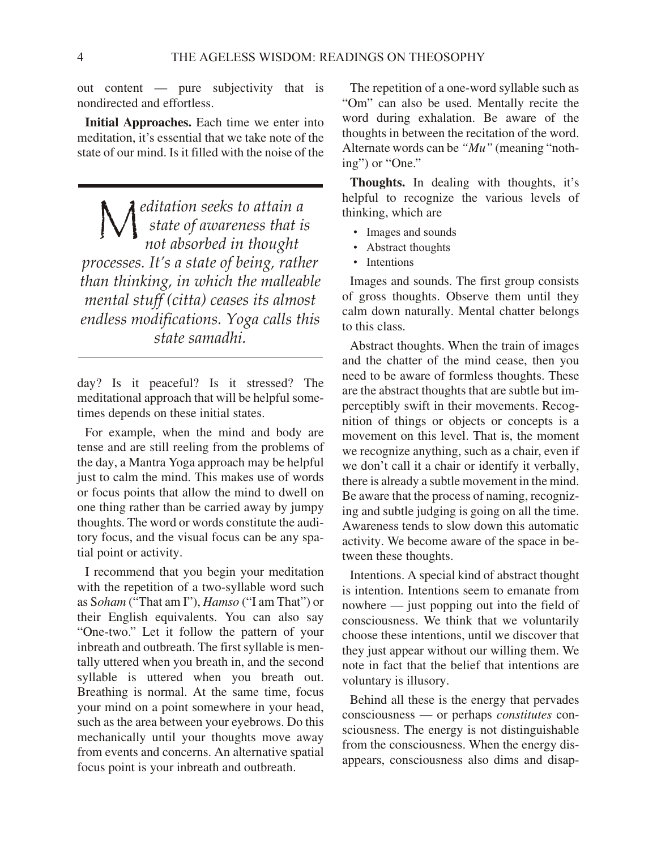out content — pure subjectivity that is nondirected and effortless.

**Initial Approaches.** Each time we enter into meditation, it's essential that we take note of the state of our mind. Is it filled with the noise of the

*M editation seeks to attain a<br>
state of awareness that i<br>
not absorbed in thought state of aware ness that is not ab sorbed in thought pro cesses. It's a state of be ing, rather than thinking, in which the malleable men tal stuff (citta) ceases its al most end less mod i fi ca tions. Yoga calls this state sam adhi.*

day? Is it peaceful? Is it stressed? The meditational approach that will be helpful sometimes depends on these initial states.

For example, when the mind and body are tense and are still reeling from the problems of the day, a Mantra Yoga approach may be helpful just to calm the mind. This makes use of words or focus points that allow the mind to dwell on one thing rather than be carried away by jumpy thoughts. The word or words constitute the auditory focus, and the visual focus can be any spatial point or activity.

I recommend that you begin your meditation with the repetition of a two-syllable word such as S*oham* ("That am I"), *Hamso* ("I am That") or their English equivalents. You can also say "One-two." Let it follow the pattern of your inbreath and outbreath. The first syllable is mentally uttered when you breath in, and the second syllable is uttered when you breath out. Breathing is normal. At the same time, focus your mind on a point somewhere in your head, such as the area between your eyebrows. Do this mechanically until your thoughts move away from events and concerns. An alternative spatial focus point is your inbreath and outbreath.

The repetition of a one-word syllable such as "Om" can also be used. Mentally recite the word during exhalation. Be aware of the thoughts in between the recitation of the word. Alternate words can be "Mu" (meaning "nothing") or "One."

Thoughts. In dealing with thoughts, it's helpful to recognize the various levels of thinking, which are

- Images and sounds
- Abstract thoughts
- Intentions

Images and sounds. The first group consists of gross thoughts. Observe them until they calm down naturally. Mental chatter belongs to this class.

Ab stract thoughts. When the train of images and the chatter of the mind cease, then you need to be aware of formless thoughts. These are the abstract thoughts that are subtle but imperceptibly swift in their movements. Recognition of things or objects or concepts is a movement on this level. That is, the moment we recognize anything, such as a chair, even if we don't call it a chair or identify it verbally, there is already a subtle movement in the mind. Be aware that the process of naming, recognizing and subtle judging is going on all the time. Awareness tends to slow down this automatic activity. We become aware of the space in between these thoughts.

Intentions. A special kind of abstract thought is intention. Intentions seem to emanate from nowhere — just popping out into the field of consciousness. We think that we voluntarily choose these intentions, until we discover that they just appear without our willing them. We note in fact that the belief that intentions are voluntary is illusory.

Behind all these is the energy that pervades consciousness — or perhaps *constitutes* consciousness. The energy is not distinguishable from the consciousness. When the energy disappears, consciousness also dims and disap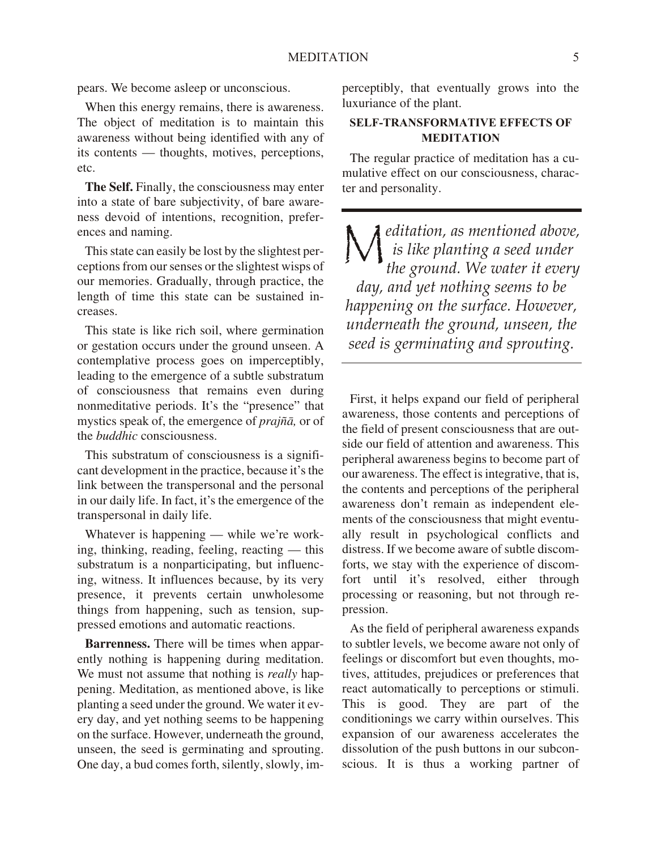pears. We become asleep or unconscious.

When this energy remains, there is awareness. The object of meditation is to maintain this awareness without being identified with any of its contents — thoughts, motives, perceptions, etc.

**The Self.** Finally, the consciousness may enter into a state of bare subjectivity, of bare awareness devoid of intentions, recognition, preferences and naming.

This state can easily be lost by the slightest perceptions from our senses or the slightest wisps of our memories. Gradually, through practice, the length of time this state can be sustained increases.

This state is like rich soil, where germination or gestation occurs under the ground unseen. A contemplative process goes on imperceptibly, leading to the emergence of a subtle substratum of consciousness that remains even during nonmeditative periods. It's the "presence" that mys tics speak of, the emergence of *prajñ€,* or of the *buddhic* consciousness.

This substratum of consciousness is a significant development in the practice, because it's the link between the transpersonal and the personal in our daily life. In fact, it's the emergence of the transpersonal in daily life.

Whatever is happening — while we're working, thinking, reading, feeling, reacting  $-$  this substratum is a nonparticipating, but influencing, witness. It influences because, by its very presence, it prevents certain unwholesome things from happening, such as tension, suppressed emotions and automatic reactions.

**Barrenness.** There will be times when apparently nothing is happening during meditation. We must not assume that nothing is *really* happening. Meditation, as mentioned above, is like planting a seed under the ground. We water it every day, and yet nothing seems to be happening on the surface. However, underneath the ground, unseen, the seed is germinating and sprouting. One day, a bud comes forth, silently, slowly, imperceptibly, that eventually grows into the luxuriance of the plant.

### **SELF-TRANSFORMATIVE EFFECTS OF MEDITATION**

The regular practice of meditation has a cumulative effect on our consciousness, character and personality.

**M** editation, as mentioned above,<br> **W** is like planting a seed under<br>
the oround We water it every *is like plant ing a seed un der the ground. We wa ter it ev ery day, and yet nothing seems to be hap pen ing on the sur face. How ever, un der neath the ground, un seen, the seed is germinating and sprouting.* 

First, it helps expand our field of peripheral awareness, those contents and perceptions of the field of present consciousness that are outside our field of attention and awareness. This peripheral awareness begins to become part of our awareness. The effect is integrative, that is, the contents and perceptions of the peripheral awareness don't remain as independent elements of the consciousness that might eventually result in psychological conflicts and distress. If we become aware of subtle discomforts, we stay with the experience of discomfort until it's resolved, either through processing or reasoning, but not through repression.

As the field of peripheral awareness expands to subtler levels, we become aware not only of feelings or discomfort but even thoughts, motives, attitudes, prejudices or preferences that react automatically to perceptions or stimuli. This is good. They are part of the conditionings we carry within ourselves. This expansion of our awareness accelerates the dissolution of the push buttons in our subconscious. It is thus a working partner of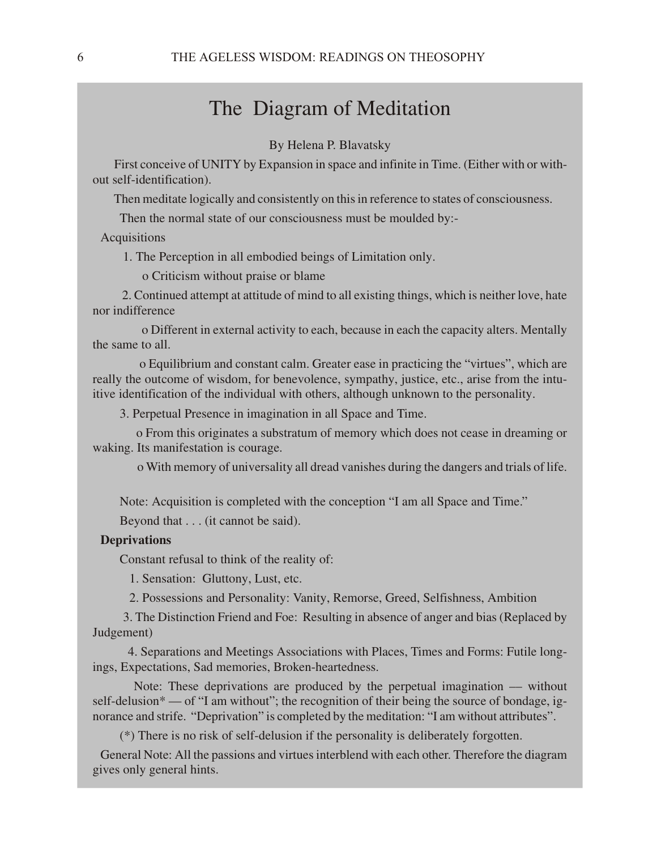# The Diagram of Meditation

By Helena P. Blavatsky

First conceive of UNITY by Expansion in space and infinite in Time. (Either with or without self-identification).

Then meditate logically and consistently on this in reference to states of consciousness.

Then the normal state of our consciousness must be moulded by:-

**Acquisitions** 

1. The Perception in all embodied beings of Limitation only.

o Criticism without praise or blame

2. Continued attempt at attitude of mind to all existing things, which is neither love, hate nor indifference

o Different in external activity to each, because in each the capacity alters. Mentally the same to all.

o Equilibrium and constant calm. Greater ease in practicing the "virtues", which are really the outcome of wisdom, for benevolence, sympathy, justice, etc., arise from the intuitive identification of the individual with others, although unknown to the personality.

3. Perpetual Presence in imagination in all Space and Time.

o From this originates a substratum of memory which does not cease in dreaming or waking. Its manifestation is courage.

o With memory of universality all dread vanishes during the dangers and trials of life.

Note: Acquisition is completed with the conception "I am all Space and Time."

Beyond that . . . (it cannot be said).

### **Deprivations**

Constant refusal to think of the reality of:

1. Sensation: Gluttony, Lust, etc.

2. Possessions and Personality: Vanity, Remorse, Greed, Selfishness, Ambition

3. The Distinction Friend and Foe: Resulting in absence of anger and bias (Replaced by Judgement)

4. Separations and Meetings Associations with Places, Times and Forms: Futile longings, Expectations, Sad memories, Broken-heartedness.

Note: These deprivations are produced by the perpetual imagination  $-$  without self-delusion\* — of "I am without"; the recognition of their being the source of bondage, ignorance and strife. "Deprivation" is completed by the meditation: "I am without attributes".

 $(*)$  There is no risk of self-delusion if the personality is deliberately forgotten.

General Note: All the passions and virtues interblend with each other. Therefore the diagram gives only general hints.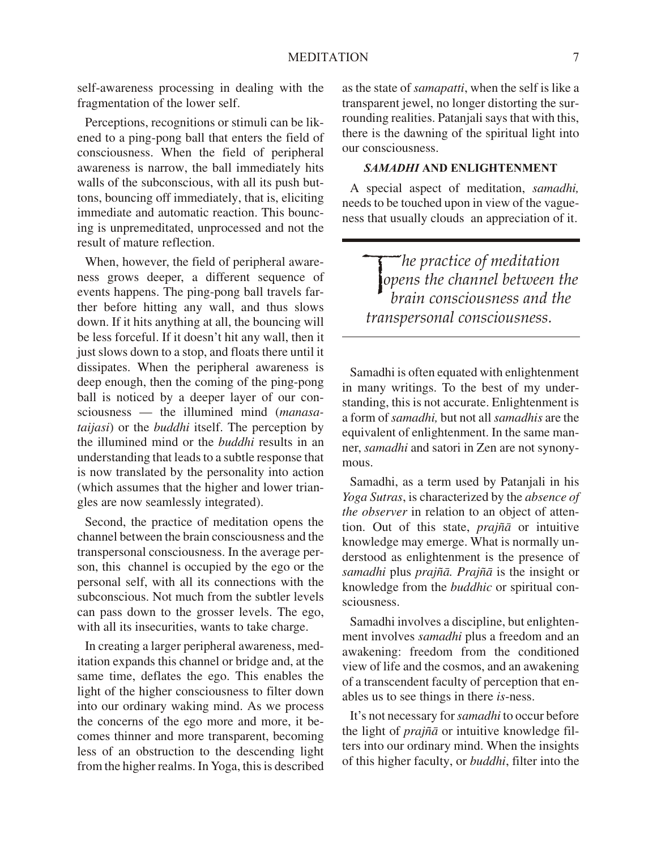self-awareness processing in dealing with the fragmentation of the lower self.

Perceptions, recognitions or stimuli can be likened to a ping-pong ball that enters the field of consciousness. When the field of peripheral awareness is narrow, the ball immediately hits walls of the subconscious, with all its push buttons, bouncing off immediately, that is, eliciting immediate and automatic reaction. This bouncing is unpremeditated, unprocessed and not the result of mature reflection.

When, however, the field of peripheral awareness grows deeper, a different sequence of events happens. The ping-pong ball travels farther be fore hitting any wall, and thus slows down. If it hits anything at all, the bouncing will be less forceful. If it doesn't hit any wall, then it just slows down to a stop, and floats there until it dissipates. When the peripheral awareness is deep enough, then the coming of the ping-pong ball is noticed by a deeper layer of our consciousness — the illumined mind (*manasataijasi*) or the *buddhi* itself. The perception by the illumined mind or the *buddhi* results in an understanding that leads to a subtle response that is now translated by the personality into action (which assumes that the higher and lower triangles are now seamlessly integrated).

Second, the practice of meditation opens the channel between the brain consciousness and the transpersonal consciousness. In the average person, this channel is occupied by the ego or the personal self, with all its connections with the subconscious. Not much from the subtler levels can pass down to the grosser levels. The ego, with all its insecurities, wants to take charge.

In creating a larger peripheral awareness, meditation expands this channel or bridge and, at the same time, deflates the ego. This enables the light of the higher consciousness to filter down into our ordinary waking mind. As we process the concerns of the ego more and more, it becomes thinner and more transparent, becoming less of an obstruction to the descending light from the higher realms. In Yoga, this is described

as the state of *samapatti*, when the self is like a transparent jewel, no longer distorting the surrounding realities. Patanjali says that with this, there is the dawning of the spiritual light into our consciousness.

### *SAMADHI* **AND ENLIGHTENMENT**

A special aspect of meditation, samadhi, needs to be touched upon in view of the vague ness that usually clouds an appreciation of it.

*he practice of meditation*<br>opens the channel between<br>hrain consciousness and the *opens the chan nel be tween the brain con scious ness and the transpersonal con scious ness.* 

Samadhi is often equated with enlightenment in many writings. To the best of my understanding, this is not accurate. Enlightenment is a form of *sam adhi,* but not all *samadhis* are the equivalent of enlightenment. In the same manner, *samadhi* and satori in Zen are not synonymous.

Samadhi, as a term used by Patanjali in his *Yoga Sutras*, is characterized by the *absence of the observer* in relation to an object of attention. Out of this state, *prajñā* or intuitive knowledge may emerge. What is normally understood as enlightenment is the presence of *sam adhi* plus *prajñ€. Prajñ€* is the in sight or knowledge from the *buddhic* or spiritual consciousness.

Sam adhi involves a discipline, but enlightenment involves *samadhi* plus a freedom and an awakening: freedom from the conditioned view of life and the cosmos, and an awakening of a transcendent faculty of perception that enables us to see things in there *is*-ness.

It's not necessary for *samadhi* to occur before the light of *prajñā* or intuitive knowledge filters into our ordinary mind. When the insights of this higher faculty, or *buddhi*, filter into the